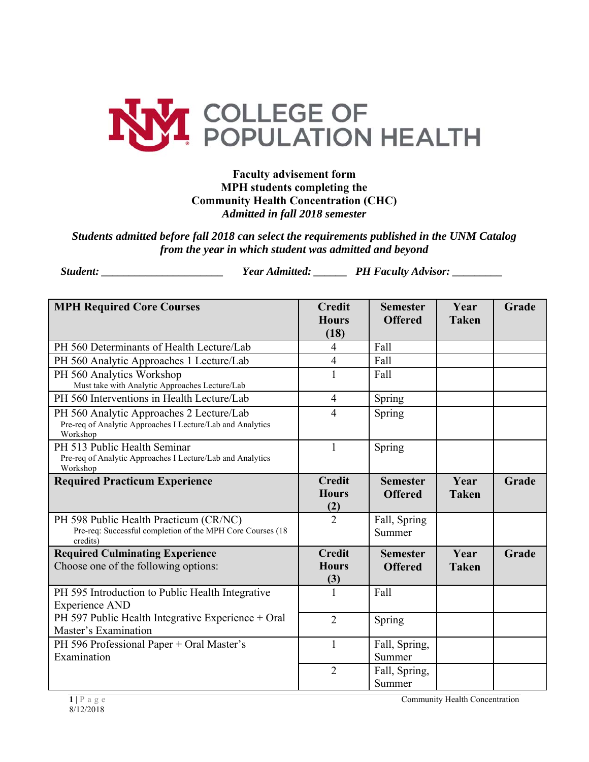

## **Faculty advisement form MPH students completing the Community Health Concentration (CHC)** *Admitted in fall 2018 semester*

## *Students admitted before fall 2018 can select the requirements published in the UNM Catalog from the year in which student was admitted and beyond*

*Student: \_\_\_\_\_\_\_\_\_\_\_\_\_\_\_\_\_\_\_\_\_\_ Year Admitted: \_\_\_\_\_\_ PH Faculty Advisor: \_\_\_\_\_\_\_\_\_* 

| <b>MPH Required Core Courses</b>                                                                                   | <b>Credit</b><br><b>Hours</b><br>(18) | <b>Semester</b><br><b>Offered</b> | Year<br><b>Taken</b> | Grade |
|--------------------------------------------------------------------------------------------------------------------|---------------------------------------|-----------------------------------|----------------------|-------|
| PH 560 Determinants of Health Lecture/Lab                                                                          | $\overline{4}$                        | Fall                              |                      |       |
| PH 560 Analytic Approaches 1 Lecture/Lab                                                                           | $\overline{4}$                        | Fall                              |                      |       |
| PH 560 Analytics Workshop<br>Must take with Analytic Approaches Lecture/Lab                                        | $\mathbf{1}$                          | Fall                              |                      |       |
| PH 560 Interventions in Health Lecture/Lab                                                                         | $\overline{4}$                        | Spring                            |                      |       |
| PH 560 Analytic Approaches 2 Lecture/Lab<br>Pre-req of Analytic Approaches I Lecture/Lab and Analytics<br>Workshop | $\overline{4}$                        | Spring                            |                      |       |
| PH 513 Public Health Seminar<br>Pre-req of Analytic Approaches I Lecture/Lab and Analytics<br>Workshop             | 1                                     | Spring                            |                      |       |
| <b>Required Practicum Experience</b>                                                                               | <b>Credit</b><br><b>Hours</b><br>(2)  | <b>Semester</b><br><b>Offered</b> | Year<br><b>Taken</b> | Grade |
| PH 598 Public Health Practicum (CR/NC)<br>Pre-req: Successful completion of the MPH Core Courses (18<br>credits)   | $\overline{2}$                        | Fall, Spring<br>Summer            |                      |       |
| <b>Required Culminating Experience</b><br>Choose one of the following options:                                     | <b>Credit</b><br><b>Hours</b><br>(3)  | <b>Semester</b><br><b>Offered</b> | Year<br><b>Taken</b> | Grade |
| PH 595 Introduction to Public Health Integrative<br><b>Experience AND</b>                                          | $\mathbf{1}$                          | Fall                              |                      |       |
| PH 597 Public Health Integrative Experience + Oral<br>Master's Examination                                         | $\overline{2}$                        | Spring                            |                      |       |
| PH 596 Professional Paper + Oral Master's<br>Examination                                                           | 1                                     | Fall, Spring,<br>Summer           |                      |       |
|                                                                                                                    | $\overline{2}$                        | Fall, Spring,<br>Summer           |                      |       |